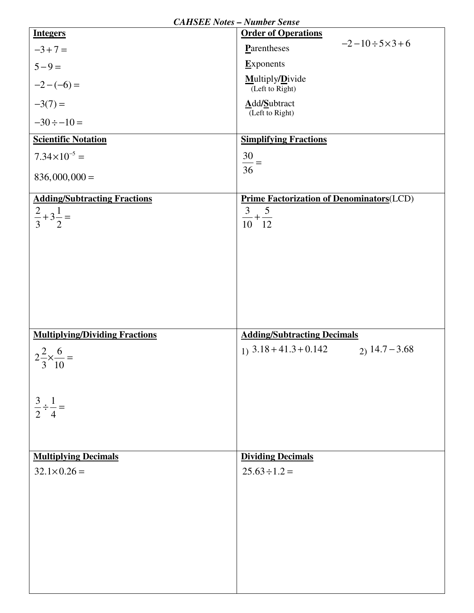|                                        | <b>CAHSEE Notes - Number Sense</b>               |
|----------------------------------------|--------------------------------------------------|
| <b>Integers</b>                        | <b>Order of Operations</b>                       |
| $-3+7=$                                | $-2-10 \div 5 \times 3 + 6$<br>Parentheses       |
| $5 - 9 =$                              | Exponents                                        |
| $-2-(-6) =$                            | Multiply/Divide<br>(Left to Right)               |
| $-3(7) =$                              | Add/Subtract<br>$\overline{L}$ (Left to Right)   |
| $-30 \div -10 =$                       |                                                  |
| <b>Scientific Notation</b>             | <b>Simplifying Fractions</b>                     |
| $7.34 \times 10^{-5} =$                | $\frac{30}{36}$ =                                |
| $836,000,000 =$                        |                                                  |
| <b>Adding/Subtracting Fractions</b>    | <b>Prime Factorization of Denominators</b> (LCD) |
| $rac{2}{3}+3\frac{1}{2}$               | $rac{3}{10} + \frac{5}{12}$                      |
|                                        |                                                  |
|                                        |                                                  |
|                                        |                                                  |
|                                        |                                                  |
|                                        |                                                  |
|                                        |                                                  |
|                                        |                                                  |
| <b>Multiplying/Dividing Fractions</b>  | <b>Adding/Subtracting Decimals</b>               |
| $2^{\frac{2}{-}} \times \frac{6}{-} =$ | $1)$ 3.18 + 41.3 + 0.142<br>$2)$ 14.7 – 3.68     |
| 3 10                                   |                                                  |
|                                        |                                                  |
|                                        |                                                  |
| $\frac{3}{2} \div \frac{1}{4} =$       |                                                  |
|                                        |                                                  |
|                                        |                                                  |
| <b>Multiplying Decimals</b>            | <b>Dividing Decimals</b>                         |
| $32.1 \times 0.26 =$                   | $25.63 \div 1.2 =$                               |
|                                        |                                                  |
|                                        |                                                  |
|                                        |                                                  |
|                                        |                                                  |
|                                        |                                                  |
|                                        |                                                  |
|                                        |                                                  |
|                                        |                                                  |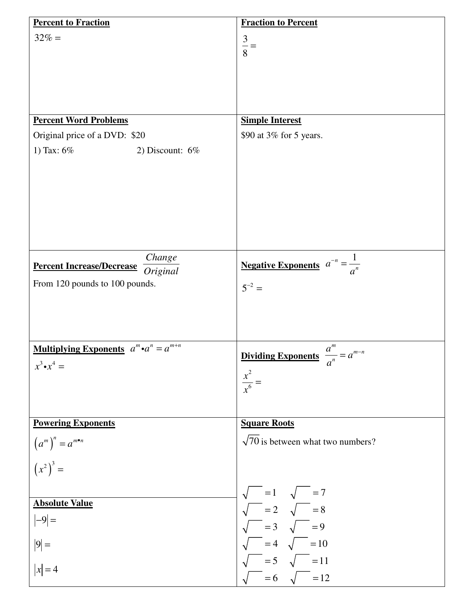| <b>Percent to Fraction</b>                             | <b>Fraction to Percent</b>                                                                         |
|--------------------------------------------------------|----------------------------------------------------------------------------------------------------|
| $32\% =$                                               | $\frac{3}{8}$                                                                                      |
| <b>Percent Word Problems</b>                           | <b>Simple Interest</b>                                                                             |
| Original price of a DVD: \$20                          | \$90 at 3% for 5 years.                                                                            |
| 1) Tax: $6\%$<br>2) Discount: $6\%$                    |                                                                                                    |
| Change<br><b>Percent Increase/Decrease</b>             | <b>Negative Exponents</b> $a^{-n} = \frac{1}{a^n}$                                                 |
| Original<br>From 120 pounds to 100 pounds.             | $5^{-2} =$                                                                                         |
| <b>Multiplying Exponents</b> $a^m \cdot a^n = a^{m+n}$ | <u>Dividing Exponents</u> $\frac{a^m}{a} = a^{m-n}$                                                |
| $x^3 \cdot x^4 =$                                      | $\boldsymbol{a}$<br>$\frac{x^2}{x^6} =$                                                            |
| <b>Powering Exponents</b>                              | <b>Square Roots</b>                                                                                |
| $(am)n = am•n$<br>$(x2)3 =$                            | $\sqrt{70}$ is between what two numbers?                                                           |
|                                                        |                                                                                                    |
| <b>Absolute Value</b>                                  |                                                                                                    |
| $ -9 =$                                                | $\sqrt{\frac{1}{\sqrt{2}}}$ = 2 $\sqrt{\frac{1}{\sqrt{2}}}$ = 8<br>$\sqrt{\frac{1}{\sqrt{2}}}$ = 9 |
| $ 9 =$                                                 |                                                                                                    |
| $ x =4$                                                | $\sqrt{\phantom{0}} = 5 \quad \sqrt{\phantom{0}} = 11$<br>$= 6 \sqrt{ } = 12$                      |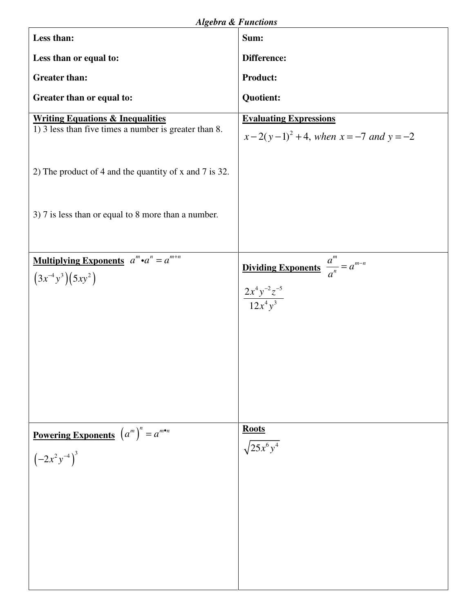| Less than:                                                                                           | $\mu$<br>Sum:                                                                                |
|------------------------------------------------------------------------------------------------------|----------------------------------------------------------------------------------------------|
| Less than or equal to:                                                                               | Difference:                                                                                  |
| <b>Greater than:</b>                                                                                 | Product:                                                                                     |
|                                                                                                      |                                                                                              |
| Greater than or equal to:                                                                            | <b>Quotient:</b>                                                                             |
| <b>Writing Equations &amp; Inequalities</b><br>1) 3 less than five times a number is greater than 8. | <b>Evaluating Expressions</b><br>$x-2(y-1)^2+4$ , when $x=-7$ and $y=-2$                     |
| 2) The product of 4 and the quantity of x and 7 is 32.                                               |                                                                                              |
| 3) 7 is less than or equal to 8 more than a number.                                                  |                                                                                              |
| <b>Multiplying Exponents</b> $a^m \cdot a^n = a^{m+n}$<br>$(3x^{-4}y^3)(5xy^2)$                      | <b>Dividing Exponents</b> $\frac{a^m}{a^n} = a^{m-n}$<br>$\frac{2x^4y^{-2}z^{-5}}{12x^4y^3}$ |
| <b>Powering Exponents</b> $(a^m)^n = a^{m \cdot n}$<br>$\left(-2x^2y^{-4}\right)^3$                  | <b>Roots</b><br>$\sqrt{25x^6y^4}$                                                            |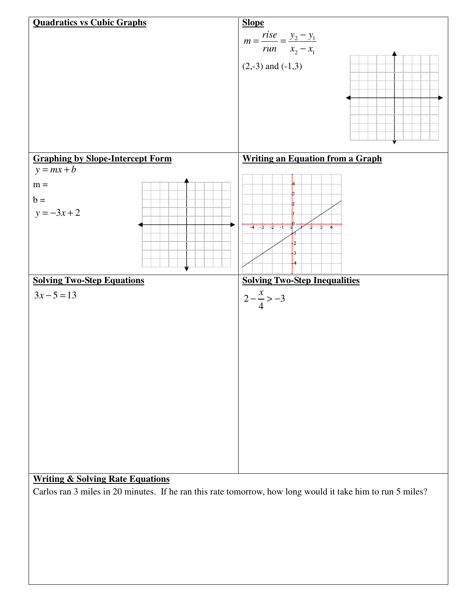

Carlos ran 3 miles in 20 minutes. If he ran this rate tomorrow, how long would it take him to run 5 miles?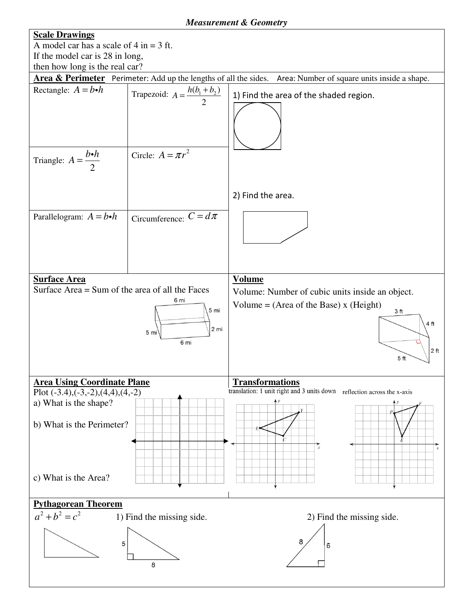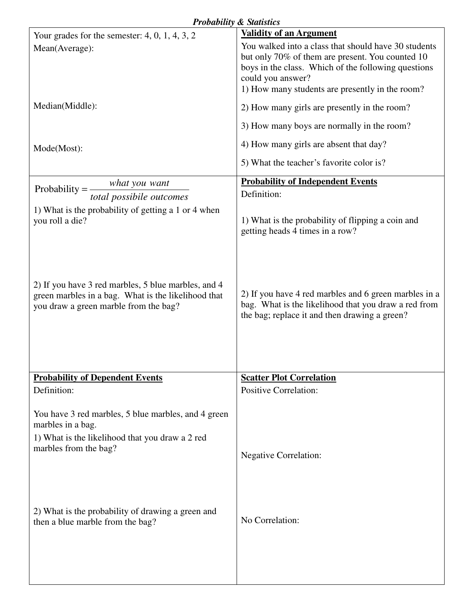| <b>Probability &amp; Statistics</b>                                                                                                                  |                                                                                                                                                                                                                                         |
|------------------------------------------------------------------------------------------------------------------------------------------------------|-----------------------------------------------------------------------------------------------------------------------------------------------------------------------------------------------------------------------------------------|
| Your grades for the semester: $4, 0, 1, 4, 3, 2$                                                                                                     | <b>Validity of an Argument</b>                                                                                                                                                                                                          |
| Mean(Average):                                                                                                                                       | You walked into a class that should have 30 students<br>but only 70% of them are present. You counted 10<br>boys in the class. Which of the following questions<br>could you answer?<br>1) How many students are presently in the room? |
| Median(Middle):                                                                                                                                      | 2) How many girls are presently in the room?                                                                                                                                                                                            |
|                                                                                                                                                      | 3) How many boys are normally in the room?                                                                                                                                                                                              |
| Mode(Most):                                                                                                                                          | 4) How many girls are absent that day?                                                                                                                                                                                                  |
|                                                                                                                                                      | 5) What the teacher's favorite color is?                                                                                                                                                                                                |
| what you want<br>Probability $=$<br>total possibile outcomes                                                                                         | <b>Probability of Independent Events</b><br>Definition:                                                                                                                                                                                 |
| 1) What is the probability of getting a 1 or 4 when<br>you roll a die?                                                                               | 1) What is the probability of flipping a coin and<br>getting heads 4 times in a row?                                                                                                                                                    |
| 2) If you have 3 red marbles, 5 blue marbles, and 4<br>green marbles in a bag. What is the likelihood that<br>you draw a green marble from the bag?  | 2) If you have 4 red marbles and 6 green marbles in a<br>bag. What is the likelihood that you draw a red from<br>the bag; replace it and then drawing a green?                                                                          |
| <b>Probability of Dependent Events</b>                                                                                                               | <b>Scatter Plot Correlation</b>                                                                                                                                                                                                         |
| Definition:                                                                                                                                          | <b>Positive Correlation:</b>                                                                                                                                                                                                            |
| You have 3 red marbles, 5 blue marbles, and 4 green<br>marbles in a bag.<br>1) What is the likelihood that you draw a 2 red<br>marbles from the bag? | <b>Negative Correlation:</b>                                                                                                                                                                                                            |
| 2) What is the probability of drawing a green and<br>then a blue marble from the bag?                                                                | No Correlation:                                                                                                                                                                                                                         |
|                                                                                                                                                      |                                                                                                                                                                                                                                         |